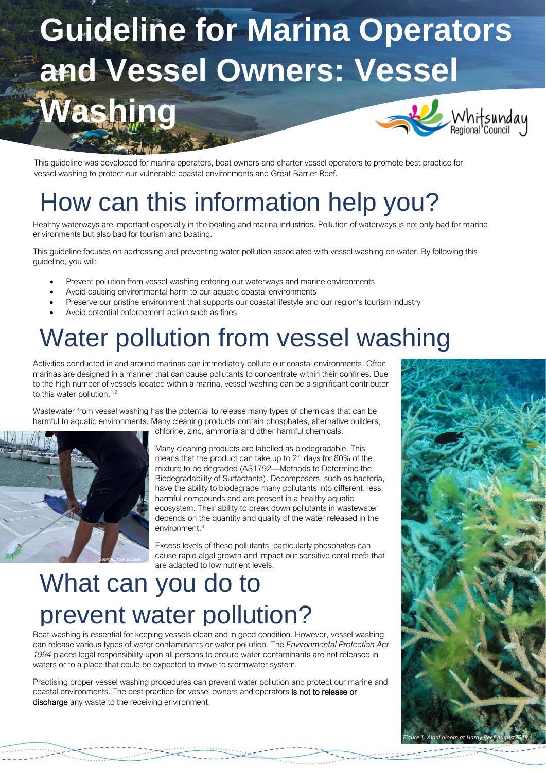# **Guideline for Marina Operators and Vessel Owners: Vessel Washing** Whitsunday<br><sub>Regional</sub> Council

This guideline was developed for marina operators, boat owners and charter vessel operators to promote best practice for vessel washing to protect our vulnerable coastal environments and Great Barrier Reef.

### How can this information help you?

Healthy waterways are important especially in the boating and marina industries. Pollution of waterways is not only bad for marine environments but also bad for tourism and boating.

This guideline focuses on addressing and preventing water pollution associated with vessel washing on water. By following this guideline, you will:

- Prevent pollution from vessel washing entering our waterways and marine environments
- Avoid causing environmental harm to our aquatic coastal environments
- Preserve our pristine environment that supports our coastal lifestyle and our region's tourism industry
- Avoid potential enforcement action such as fines

# Water pollution from vessel washing

Activities conducted in and around marinas can immediately pollute our coastal environments. Often marinas are designed in a manner that can cause pollutants to concentrate within their confines. Due to the high number of vessels located within a marina, vessel washing can be a significant contributor to this water pollution.<sup>1,2</sup>

Wastewater from vessel washing has the potential to release many types of chemicals that can be harmful to aquatic environments. Many cleaning products contain phosphates, alternative builders, chlorine, zinc, ammonia and other harmful chemicals.



Many cleaning products are labelled as biodegradable. This means that the product can take up to 21 days for 80% of the mixture to be degraded (AS1792—Methods to Determine the Biodegradability of Surfactants). Decomposers, such as bacteria, have the ability to biodegrade many pollutants into different, less harmful compounds and are present in a healthy aquatic ecosystem. Their ability to break down pollutants in wastewater depends on the quantity and quality of the water released in the environment.<sup>3</sup>

Excess levels of these pollutants, particularly phosphates can cause rapid algal growth and impact our sensitive coral reefs that are adapted to low nutrient levels.

7.422500

# What can you do to prevent water pollution?

Boat washing is essential for keeping vessels clean and in good condition. However, vessel washing can release various types of water contaminants or water pollution. The *Environmental Protection Act 1994* places legal responsibility upon all persons to ensure water contaminants are not released in waters or to a place that could be expected to move to stormwater system.

Practising proper vessel washing procedures can prevent water pollution and protect our marine and coastal environments. The best practice for vessel owners and operators is not to release or discharge any waste to the receiving environment.